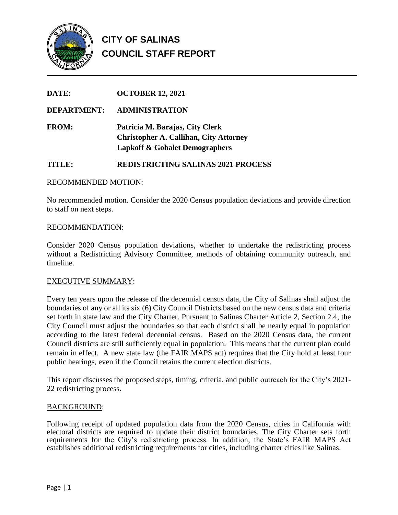

# **CITY OF SALINAS COUNCIL STAFF REPORT**

| <b>DATE:</b>       | <b>OCTOBER 12, 2021</b>                                                                                                       |
|--------------------|-------------------------------------------------------------------------------------------------------------------------------|
| <b>DEPARTMENT:</b> | <b>ADMINISTRATION</b>                                                                                                         |
| <b>FROM:</b>       | Patricia M. Barajas, City Clerk<br><b>Christopher A. Callihan, City Attorney</b><br><b>Lapkoff &amp; Gobalet Demographers</b> |
| <b>TITLE:</b>      | <b>REDISTRICTING SALINAS 2021 PROCESS</b>                                                                                     |

## RECOMMENDED MOTION:

No recommended motion. Consider the 2020 Census population deviations and provide direction to staff on next steps.

#### RECOMMENDATION:

Consider 2020 Census population deviations, whether to undertake the redistricting process without a Redistricting Advisory Committee, methods of obtaining community outreach, and timeline.

#### EXECUTIVE SUMMARY:

Every ten years upon the release of the decennial census data, the City of Salinas shall adjust the boundaries of any or all its six (6) City Council Districts based on the new census data and criteria set forth in state law and the City Charter. Pursuant to Salinas Charter Article 2, Section 2.4, the City Council must adjust the boundaries so that each district shall be nearly equal in population according to the latest federal decennial census. Based on the 2020 Census data, the current Council districts are still sufficiently equal in population. This means that the current plan could remain in effect. A new state law (the FAIR MAPS act) requires that the City hold at least four public hearings, even if the Council retains the current election districts.

This report discusses the proposed steps, timing, criteria, and public outreach for the City's 2021- 22 redistricting process.

#### BACKGROUND:

Following receipt of updated population data from the 2020 Census, cities in California with electoral districts are required to update their district boundaries. The City Charter sets forth requirements for the City's redistricting process. In addition, the State's FAIR MAPS Act establishes additional redistricting requirements for cities, including charter cities like Salinas.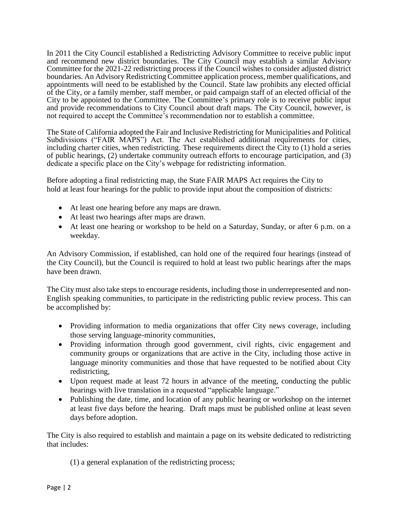In 2011 the City Council established a Redistricting Advisory Committee to receive public input and recommend new district boundaries. The City Council may establish a similar Advisory Committee for the 2021-22 redistricting process if the Council wishes to consider adjusted district boundaries. An Advisory Redistricting Committee application process, member qualifications, and appointments will need to be established by the Council. State law prohibits any elected official of the City, or a family member, staff member, or paid campaign staff of an elected official of the City to be appointed to the Committee. The Committee's primary role is to receive public input and provide recommendations to City Council about draft maps. The City Council, however, is not required to accept the Committee's recommendation nor to establish a committee.

The State of California adopted the Fair and Inclusive Redistricting for Municipalities and Political Subdivisions ("FAIR MAPS") Act. The Act established additional requirements for cities, including charter cities, when redistricting. These requirements direct the City to (1) hold a series of public hearings, (2) undertake community outreach efforts to encourage participation, and (3) dedicate a specific place on the City's webpage for redistricting information.

Before adopting a final redistricting map, the State FAIR MAPS Act requires the City to hold at least four hearings for the public to provide input about the composition of districts:

- At least one hearing before any maps are drawn.
- At least two hearings after maps are drawn.
- At least one hearing or workshop to be held on a Saturday, Sunday, or after 6 p.m. on a weekday.

An Advisory Commission, if established, can hold one of the required four hearings (instead of the City Council), but the Council is required to hold at least two public hearings after the maps have been drawn.

The City must also take steps to encourage residents, including those in underrepresented and non-English speaking communities, to participate in the redistricting public review process. This can be accomplished by:

- Providing information to media organizations that offer City news coverage, including those serving language-minority communities,
- Providing information through good government, civil rights, civic engagement and community groups or organizations that are active in the City, including those active in language minority communities and those that have requested to be notified about City redistricting,
- Upon request made at least 72 hours in advance of the meeting, conducting the public hearings with live translation in a requested "applicable language."
- Publishing the date, time, and location of any public hearing or workshop on the internet at least five days before the hearing. Draft maps must be published online at least seven days before adoption.

The City is also required to establish and maintain a page on its website dedicated to redistricting that includes:

(1) a general explanation of the redistricting process;